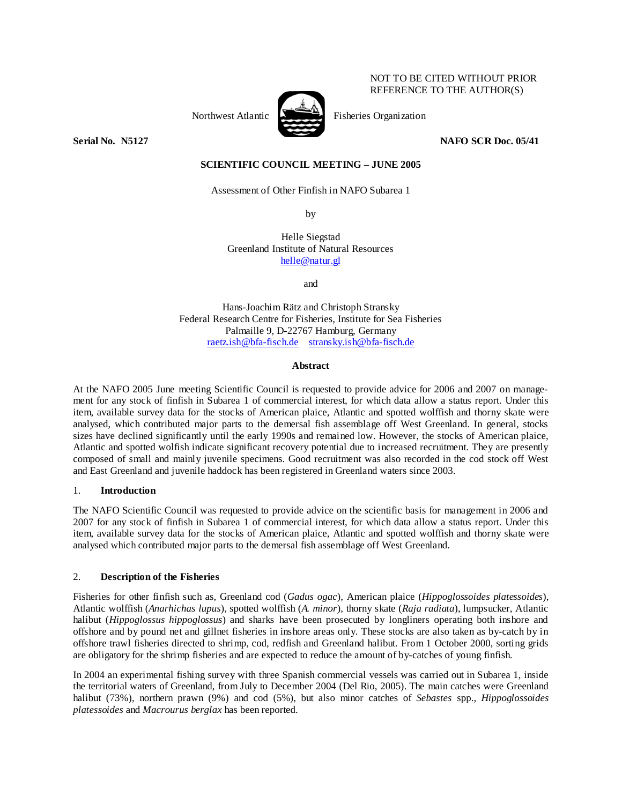## NOT TO BE CITED WITHOUT PRIOR REFERENCE TO THE AUTHOR(S)



Northwest Atlantic Fisheries Organization

**Serial No. 3.5127** NAFO SCR Doc. 05/41 **NAFO SCR Doc.** 05/41

# **SCIENTIFIC COUNCIL MEETING – JUNE 2005**

Assessment of Other Finfish in NAFO Subarea 1

by

Helle Siegstad Greenland Institute of Natural Resources helle@natur.gl

and

Hans-Joachim Rätz and Christoph Stransky Federal Research Centre for Fisheries, Institute for Sea Fisheries Palmaille 9, D-22767 Hamburg, Germany raetz.ish@bfa-fisch.de stransky.ish@bfa-fisch.de

### **Abstract**

At the NAFO 2005 June meeting Scientific Council is requested to provide advice for 2006 and 2007 on management for any stock of finfish in Subarea 1 of commercial interest, for which data allow a status report. Under this item, available survey data for the stocks of American plaice, Atlantic and spotted wolffish and thorny skate were analysed, which contributed major parts to the demersal fish assemblage off West Greenland. In general, stocks sizes have declined significantly until the early 1990s and remained low. However, the stocks of American plaice, Atlantic and spotted wolfish indicate significant recovery potential due to increased recruitment. They are presently composed of small and mainly juvenile specimens. Good recruitment was also recorded in the cod stock off West and East Greenland and juvenile haddock has been registered in Greenland waters since 2003.

### 1. **Introduction**

The NAFO Scientific Council was requested to provide advice on the scientific basis for management in 2006 and 2007 for any stock of finfish in Subarea 1 of commercial interest, for which data allow a status report. Under this item, available survey data for the stocks of American plaice, Atlantic and spotted wolffish and thorny skate were analysed which contributed major parts to the demersal fish assemblage off West Greenland.

# 2. **Description of the Fisheries**

Fisheries for other finfish such as, Greenland cod (*Gadus ogac*), American plaice (*Hippoglossoides platessoides*), Atlantic wolffish (*Anarhichas lupus*), spotted wolffish (*A. minor*), thorny skate (*Raja radiata*), lumpsucker, Atlantic halibut (*Hippoglossus hippoglossus*) and sharks have been prosecuted by longliners operating both inshore and offshore and by pound net and gillnet fisheries in inshore areas only. These stocks are also taken as by-catch by in offshore trawl fisheries directed to shrimp, cod, redfish and Greenland halibut. From 1 October 2000, sorting grids are obligatory for the shrimp fisheries and are expected to reduce the amount of by-catches of young finfish.

In 2004 an experimental fishing survey with three Spanish commercial vessels was carried out in Subarea 1, inside the territorial waters of Greenland, from July to December 2004 (Del Rio, 2005). The main catches were Greenland halibut (73%), northern prawn (9%) and cod (5%), but also minor catches of *Sebastes* spp., *Hippoglossoides platessoides* and *Macrourus berglax* has been reported.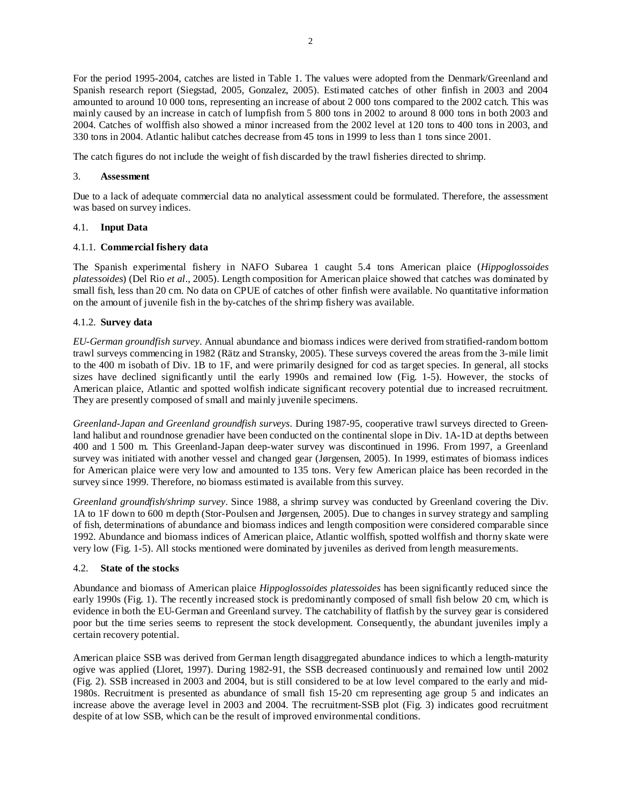For the period 1995-2004, catches are listed in Table 1. The values were adopted from the Denmark/Greenland and Spanish research report (Siegstad, 2005, Gonzalez, 2005). Estimated catches of other finfish in 2003 and 2004 amounted to around 10 000 tons, representing an increase of about 2 000 tons compared to the 2002 catch. This was mainly caused by an increase in catch of lumpfish from 5 800 tons in 2002 to around 8 000 tons in both 2003 and 2004. Catches of wolffish also showed a minor increased from the 2002 level at 120 tons to 400 tons in 2003, and 330 tons in 2004. Atlantic halibut catches decrease from 45 tons in 1999 to less than 1 tons since 2001.

The catch figures do not include the weight of fish discarded by the trawl fisheries directed to shrimp.

## 3. **Assessment**

Due to a lack of adequate commercial data no analytical assessment could be formulated. Therefore, the assessment was based on survey indices.

### 4.1. **Input Data**

### 4.1.1. **Commercial fishery data**

The Spanish experimental fishery in NAFO Subarea 1 caught 5.4 tons American plaice (*Hippoglossoides platessoides*) (Del Rio *et al*., 2005). Length composition for American plaice showed that catches was dominated by small fish, less than 20 cm. No data on CPUE of catches of other finfish were available. No quantitative information on the amount of juvenile fish in the by-catches of the shrimp fishery was available.

### 4.1.2. **Survey data**

*EU-German groundfish survey*. Annual abundance and biomass indices were derived from stratified-random bottom trawl surveys commencing in 1982 (Rätz and Stransky, 2005). These surveys covered the areas from the 3-mile limit to the 400 m isobath of Div. 1B to 1F, and were primarily designed for cod as target species. In general, all stocks sizes have declined significantly until the early 1990s and remained low (Fig. 1-5). However, the stocks of American plaice, Atlantic and spotted wolfish indicate significant recovery potential due to increased recruitment. They are presently composed of small and mainly juvenile specimens.

*Greenland-Japan and Greenland groundfish surveys*. During 1987-95, cooperative trawl surveys directed to Greenland halibut and roundnose grenadier have been conducted on the continental slope in Div. 1A-1D at depths between 400 and 1 500 m. This Greenland-Japan deep-water survey was discontinued in 1996. From 1997, a Greenland survey was initiated with another vessel and changed gear (Jørgensen, 2005). In 1999, estimates of biomass indices for American plaice were very low and amounted to 135 tons. Very few American plaice has been recorded in the survey since 1999. Therefore, no biomass estimated is available from this survey.

*Greenland groundfish/shrimp survey*. Since 1988, a shrimp survey was conducted by Greenland covering the Div. 1A to 1F down to 600 m depth (Stor-Poulsen and Jørgensen, 2005). Due to changes in survey strategy and sampling of fish, determinations of abundance and biomass indices and length composition were considered comparable since 1992. Abundance and biomass indices of American plaice, Atlantic wolffish, spotted wolffish and thorny skate were very low (Fig. 1-5). All stocks mentioned were dominated by juveniles as derived from length measurements.

### 4.2. **State of the stocks**

Abundance and biomass of American plaice *Hippoglossoides platessoides* has been significantly reduced since the early 1990s (Fig. 1). The recently increased stock is predominantly composed of small fish below 20 cm, which is evidence in both the EU-German and Greenland survey. The catchability of flatfish by the survey gear is considered poor but the time series seems to represent the stock development. Consequently, the abundant juveniles imply a certain recovery potential.

American plaice SSB was derived from German length disaggregated abundance indices to which a length-maturity ogive was applied (Lloret, 1997). During 1982-91, the SSB decreased continuously and remained low until 2002 (Fig. 2). SSB increased in 2003 and 2004, but is still considered to be at low level compared to the early and mid-1980s. Recruitment is presented as abundance of small fish 15-20 cm representing age group 5 and indicates an increase above the average level in 2003 and 2004. The recruitment-SSB plot (Fig. 3) indicates good recruitment despite of at low SSB, which can be the result of improved environmental conditions.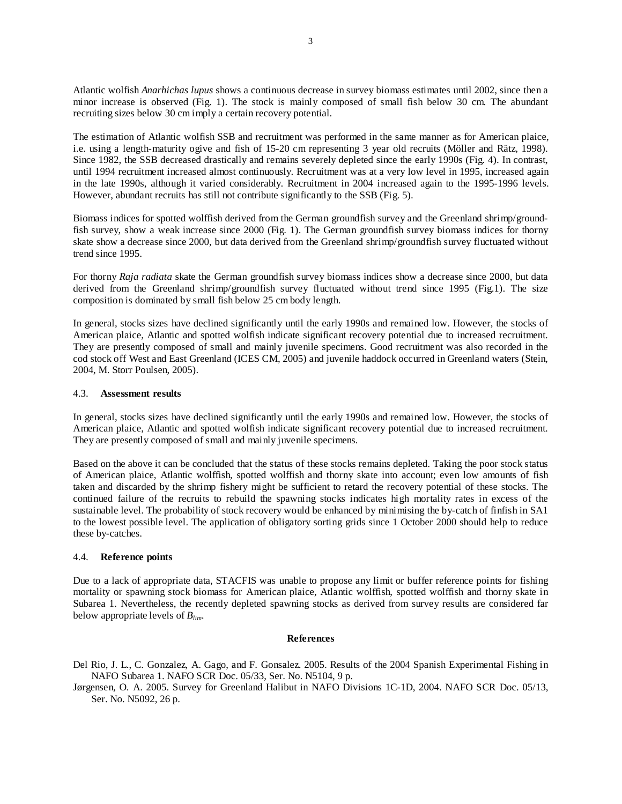Atlantic wolfish *Anarhichas lupus* shows a continuous decrease in survey biomass estimates until 2002, since then a minor increase is observed (Fig. 1). The stock is mainly composed of small fish below 30 cm. The abundant recruiting sizes below 30 cm imply a certain recovery potential.

The estimation of Atlantic wolfish SSB and recruitment was performed in the same manner as for American plaice, i.e. using a length-maturity ogive and fish of 15-20 cm representing 3 year old recruits (Möller and Rätz, 1998). Since 1982, the SSB decreased drastically and remains severely depleted since the early 1990s (Fig. 4). In contrast, until 1994 recruitment increased almost continuously. Recruitment was at a very low level in 1995, increased again in the late 1990s, although it varied considerably. Recruitment in 2004 increased again to the 1995-1996 levels. However, abundant recruits has still not contribute significantly to the SSB (Fig. 5).

Biomass indices for spotted wolffish derived from the German groundfish survey and the Greenland shrimp/groundfish survey, show a weak increase since 2000 (Fig. 1). The German groundfish survey biomass indices for thorny skate show a decrease since 2000, but data derived from the Greenland shrimp/groundfish survey fluctuated without trend since 1995.

For thorny *Raja radiata* skate the German groundfish survey biomass indices show a decrease since 2000, but data derived from the Greenland shrimp/groundfish survey fluctuated without trend since 1995 (Fig.1). The size composition is dominated by small fish below 25 cm body length.

In general, stocks sizes have declined significantly until the early 1990s and remained low. However, the stocks of American plaice, Atlantic and spotted wolfish indicate significant recovery potential due to increased recruitment. They are presently composed of small and mainly juvenile specimens. Good recruitment was also recorded in the cod stock off West and East Greenland (ICES CM, 2005) and juvenile haddock occurred in Greenland waters (Stein, 2004, M. Storr Poulsen, 2005).

### 4.3. **Assessment results**

In general, stocks sizes have declined significantly until the early 1990s and remained low. However, the stocks of American plaice, Atlantic and spotted wolfish indicate significant recovery potential due to increased recruitment. They are presently composed of small and mainly juvenile specimens.

Based on the above it can be concluded that the status of these stocks remains depleted. Taking the poor stock status of American plaice, Atlantic wolffish, spotted wolffish and thorny skate into account; even low amounts of fish taken and discarded by the shrimp fishery might be sufficient to retard the recovery potential of these stocks. The continued failure of the recruits to rebuild the spawning stocks indicates high mortality rates in excess of the sustainable level. The probability of stock recovery would be enhanced by minimising the by-catch of finfish in SA1 to the lowest possible level. The application of obligatory sorting grids since 1 October 2000 should help to reduce these by-catches.

### 4.4. **Reference points**

Due to a lack of appropriate data, STACFIS was unable to propose any limit or buffer reference points for fishing mortality or spawning stock biomass for American plaice, Atlantic wolffish, spotted wolffish and thorny skate in Subarea 1. Nevertheless, the recently depleted spawning stocks as derived from survey results are considered far below appropriate levels of *Blim*.

#### **References**

Del Rio, J. L., C. Gonzalez, A. Gago, and F. Gonsalez. 2005. Results of the 2004 Spanish Experimental Fishing in NAFO Subarea 1. NAFO SCR Doc. 05/33, Ser. No. N5104, 9 p.

Jørgensen, O. A. 2005. Survey for Greenland Halibut in NAFO Divisions 1C-1D, 2004. NAFO SCR Doc. 05/13, Ser. No. N5092, 26 p.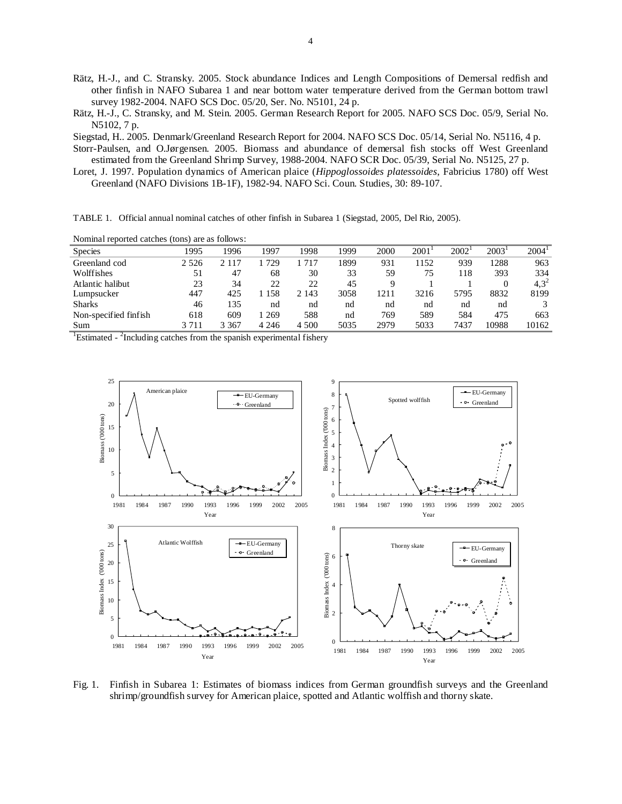- Rätz, H.-J., and C. Stransky. 2005. Stock abundance Indices and Length Compositions of Demersal redfish and other finfish in NAFO Subarea 1 and near bottom water temperature derived from the German bottom trawl survey 1982-2004. NAFO SCS Doc. 05/20, Ser. No. N5101, 24 p.
- Rätz, H.-J., C. Stransky, and M. Stein. 2005. German Research Report for 2005. NAFO SCS Doc. 05/9, Serial No. N5102, 7 p.

Siegstad, H.. 2005. Denmark/Greenland Research Report for 2004. NAFO SCS Doc. 05/14, Serial No. N5116, 4 p.

- Storr-Paulsen, and O.Jørgensen. 2005. Biomass and abundance of demersal fish stocks off West Greenland estimated from the Greenland Shrimp Survey, 1988-2004. NAFO SCR Doc. 05/39, Serial No. N5125, 27 p.
- Loret, J. 1997. Population dynamics of American plaice (*Hippoglossoides platessoides*, Fabricius 1780) off West Greenland (NAFO Divisions 1B-1F), 1982-94. NAFO Sci. Coun. Studies, 30: 89-107.

TABLE 1. Official annual nominal catches of other finfish in Subarea 1 (Siegstad, 2005, Del Rio, 2005).

Nominal reported catches (tons) are as follows:

| . .                   |         |         |         |         |      |      |      |      |       |                   |
|-----------------------|---------|---------|---------|---------|------|------|------|------|-------|-------------------|
| <b>Species</b>        | 1995    | 1996    | 1997    | 1998    | 1999 | 2000 | 2001 | 2002 | 2003' | 2004 <sup>1</sup> |
| Greenland cod         | 2 5 2 6 | 117     | 729     | 717     | 1899 | 931  | 1152 | 939  | 1288  | 963               |
| Wolffishes            | 51      | 47      | 68      | 30      | 33   | 59   | 75   | 118  | 393   | 334               |
| Atlantic halibut      | 23      | 34      | 22      | 22      | 45   |      |      |      |       | $4.3^{2}$         |
| Lumpsucker            | 447     | 425     | 158     | 2 1 4 3 | 3058 | 1211 | 3216 | 5795 | 8832  | 8199              |
| <b>Sharks</b>         | 46      | 135     | nd      | nd      | nd   | nd   | nd   | nd   | nd    |                   |
| Non-specified finfish | 618     | 609     | -269    | 588     | nd   | 769  | 589  | 584  | 475   | 663               |
| Sum                   | 3 7 1 1 | 3 3 6 7 | 4 2 4 6 | 4 500   | 5035 | 2979 | 5033 | 7437 | 10988 | 10162             |
|                       |         |         |         |         |      |      |      |      |       |                   |

<sup>1</sup>Estimated -  $2$ Including catches from the spanish experimental fishery



Fig. 1. Finfish in Subarea 1: Estimates of biomass indices from German groundfish surveys and the Greenland shrimp/groundfish survey for American plaice, spotted and Atlantic wolffish and thorny skate.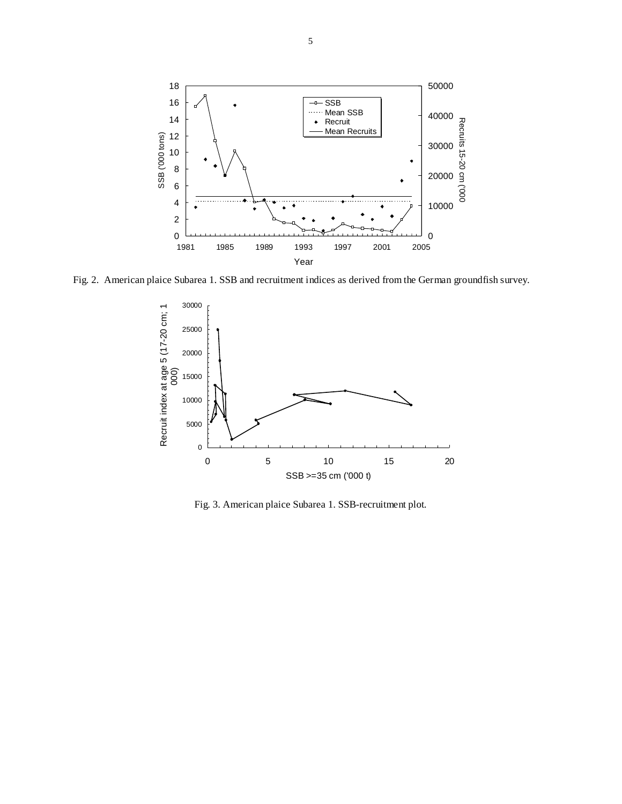

Fig. 2. American plaice Subarea 1. SSB and recruitment indices as derived from the German groundfish survey.



Fig. 3. American plaice Subarea 1. SSB-recruitment plot.